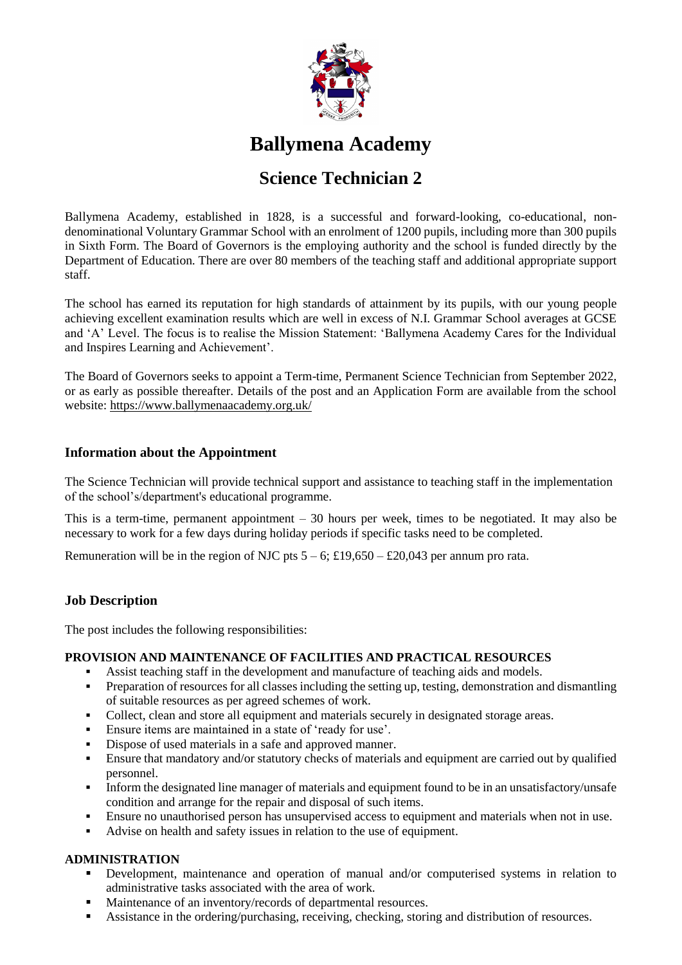

# **Ballymena Academy**

# **Science Technician 2**

Ballymena Academy, established in 1828, is a successful and forward-looking, co-educational, nondenominational Voluntary Grammar School with an enrolment of 1200 pupils, including more than 300 pupils in Sixth Form. The Board of Governors is the employing authority and the school is funded directly by the Department of Education. There are over 80 members of the teaching staff and additional appropriate support staff.

The school has earned its reputation for high standards of attainment by its pupils, with our young people achieving excellent examination results which are well in excess of N.I. Grammar School averages at GCSE and 'A' Level. The focus is to realise the Mission Statement: 'Ballymena Academy Cares for the Individual and Inspires Learning and Achievement'.

The Board of Governors seeks to appoint a Term-time, Permanent Science Technician from September 2022, or as early as possible thereafter. Details of the post and an Application Form are available from the school website:<https://www.ballymenaacademy.org.uk/>

# **Information about the Appointment**

The Science Technician will provide technical support and assistance to teaching staff in the implementation of the school's/department's educational programme.

This is a term-time, permanent appointment – 30 hours per week, times to be negotiated. It may also be necessary to work for a few days during holiday periods if specific tasks need to be completed.

Remuneration will be in the region of NJC pts  $5 - 6$ ; £19,650 – £20,043 per annum pro rata.

# **Job Description**

The post includes the following responsibilities:

# **PROVISION AND MAINTENANCE OF FACILITIES AND PRACTICAL RESOURCES**

- Assist teaching staff in the development and manufacture of teaching aids and models.
- **Preparation of resources for all classes including the setting up, testing, demonstration and dismantling** of suitable resources as per agreed schemes of work.
- Collect, clean and store all equipment and materials securely in designated storage areas.
- Ensure items are maintained in a state of 'ready for use'.
- Dispose of used materials in a safe and approved manner.
- Ensure that mandatory and/or statutory checks of materials and equipment are carried out by qualified personnel.
- Inform the designated line manager of materials and equipment found to be in an unsatisfactory/unsafe condition and arrange for the repair and disposal of such items.
- Ensure no unauthorised person has unsupervised access to equipment and materials when not in use.
- Advise on health and safety issues in relation to the use of equipment.

# **ADMINISTRATION**

- Development, maintenance and operation of manual and/or computerised systems in relation to administrative tasks associated with the area of work.
- Maintenance of an inventory/records of departmental resources.
- Assistance in the ordering/purchasing, receiving, checking, storing and distribution of resources.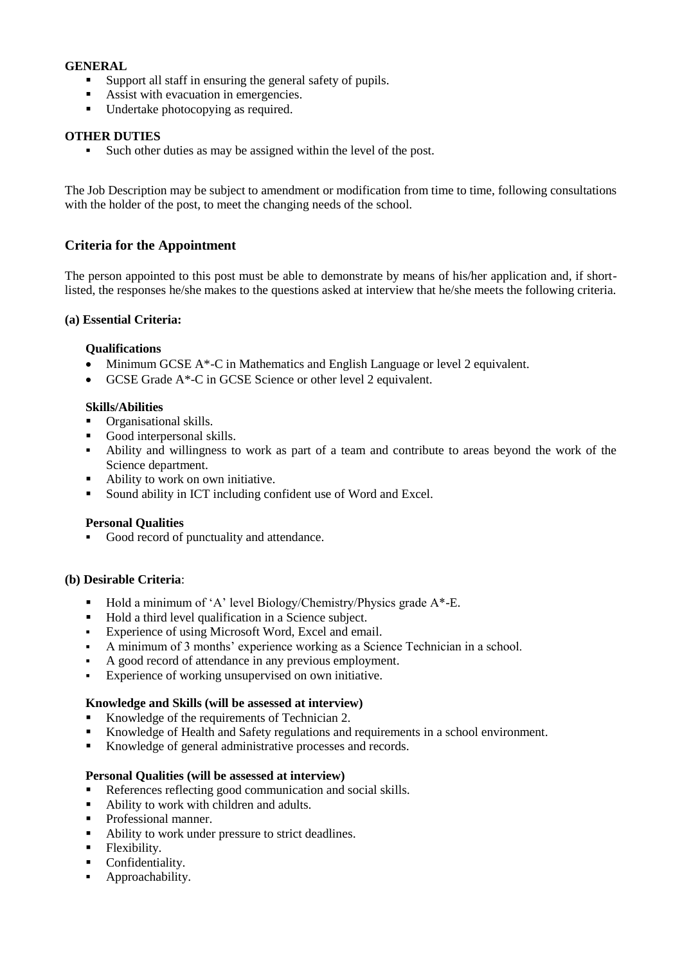#### **GENERAL**

- Support all staff in ensuring the general safety of pupils.
- Assist with evacuation in emergencies.
- **•** Undertake photocopying as required.

### **OTHER DUTIES**

Such other duties as may be assigned within the level of the post.

The Job Description may be subject to amendment or modification from time to time, following consultations with the holder of the post, to meet the changing needs of the school.

# **Criteria for the Appointment**

The person appointed to this post must be able to demonstrate by means of his/her application and, if shortlisted, the responses he/she makes to the questions asked at interview that he/she meets the following criteria.

#### **(a) Essential Criteria:**

#### **Qualifications**

- Minimum GCSE A\*-C in Mathematics and English Language or level 2 equivalent.
- GCSE Grade A\*-C in GCSE Science or other level 2 equivalent.

#### **Skills/Abilities**

- **•** Organisational skills.
- **Good interpersonal skills.**
- Ability and willingness to work as part of a team and contribute to areas beyond the work of the Science department.
- Ability to work on own initiative.
- Sound ability in ICT including confident use of Word and Excel.

#### **Personal Qualities**

Good record of punctuality and attendance.

# **(b) Desirable Criteria**:

- Hold a minimum of 'A' level Biology/Chemistry/Physics grade A\*-E.
- Hold a third level qualification in a Science subject.
- Experience of using Microsoft Word, Excel and email.
- A minimum of 3 months' experience working as a Science Technician in a school.
- A good record of attendance in any previous employment.
- Experience of working unsupervised on own initiative.

# **Knowledge and Skills (will be assessed at interview)**

- Knowledge of the requirements of Technician 2.
- Knowledge of Health and Safety regulations and requirements in a school environment.
- Knowledge of general administrative processes and records.

#### **Personal Qualities (will be assessed at interview)**

- References reflecting good communication and social skills.
- Ability to work with children and adults.
- Professional manner.
- Ability to work under pressure to strict deadlines.
- **Flexibility.**
- **•** Confidentiality.
- **•** Approachability.